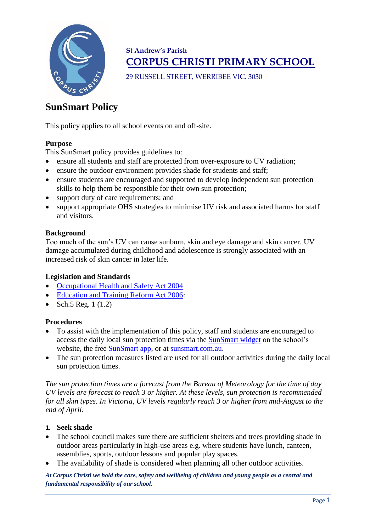

# **St Andrew's Parish CORPUS CHRISTI PRIMARY SCHOOL**

29 RUSSELL STREET, WERRIBEE VIC. 3030

# **SunSmart Policy**

This policy applies to all school events on and off-site.

## **Purpose**

This SunSmart policy provides guidelines to:

- ensure all students and staff are protected from over-exposure to UV radiation;
- ensure the outdoor environment provides shade for students and staff;
- ensure students are encouraged and supported to develop independent sun protection skills to help them be responsible for their own sun protection;
- support duty of care requirements; and
- support appropriate OHS strategies to minimise UV risk and associated harms for staff and visitors.

#### **Background**

Too much of the sun's UV can cause sunburn, skin and eye damage and skin cancer. UV damage accumulated during childhood and adolescence is strongly associated with an increased risk of skin cancer in later life.

#### **Legislation and Standards**

- [Occupational Health and Safety Act 2004](http://www.legislation.vic.gov.au/Domino/Web_Notes/LDMS/PubStatbook.nsf/edfb620cf7503d1aca256da4001b08af/750E0D9E0B2B387FCA256F71001FA7BE/$FILE/04-107A.pdf)
- [Education and Training Reform Act 2006:](http://www.education.vic.gov.au/about/department/legislation/Pages/act2006.aspx)
- Sch.5 Reg.  $1(1.2)$

#### **Procedures**

- To assist with the implementation of this policy, staff and students are encouraged to access the daily local sun protection times via the [SunSmart widget](http://www.sunsmart.com.au/uv-sun-protection/uv/uv-widget) on the school's website, the free [SunSmart app,](http://www.sunsmart.com.au/tools/interactive-tools/free-sunsmart-app) or at [sunsmart.com.au.](http://www.sunsmart.com.au/)
- The sun protection measures listed are used for all outdoor activities during the daily local sun protection times.

*The sun protection times are a forecast from the Bureau of Meteorology for the time of day UV levels are forecast to reach 3 or higher. At these levels, sun protection is recommended for all skin types. In Victoria, UV levels regularly reach 3 or higher from mid-August to the end of April.*

- **1. Seek shade**
- The school council makes sure there are sufficient shelters and trees providing shade in outdoor areas particularly in high-use areas e.g. where students have lunch, canteen, assemblies, sports, outdoor lessons and popular play spaces.
- The availability of shade is considered when planning all other outdoor activities.

*At Corpus Christi we hold the care, safety and wellbeing of children and young people as a central and fundamental responsibility of our school.*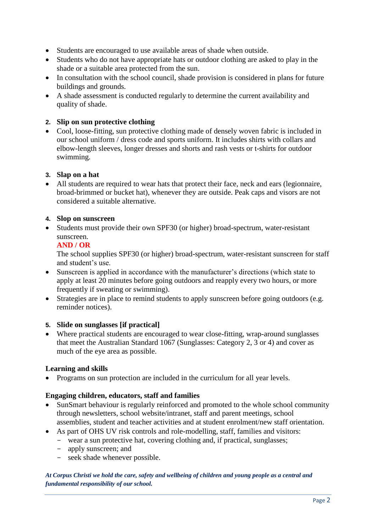- Students are encouraged to use available areas of shade when outside.
- Students who do not have appropriate hats or outdoor clothing are asked to play in the shade or a suitable area protected from the sun.
- In consultation with the school council, shade provision is considered in plans for future buildings and grounds.
- A shade assessment is conducted regularly to determine the current availability and quality of shade.

#### **2. Slip on sun protective clothing**

• Cool, loose-fitting, sun protective clothing made of densely woven fabric is included in our school uniform / dress code and sports uniform. It includes shirts with collars and elbow-length sleeves, longer dresses and shorts and rash vests or t-shirts for outdoor swimming.

#### **3. Slap on a hat**

• All students are required to wear hats that protect their face, neck and ears (legionnaire, broad-brimmed or bucket hat), whenever they are outside. Peak caps and visors are not considered a suitable alternative.

#### **4. Slop on sunscreen**

• Students must provide their own SPF30 (or higher) broad-spectrum, water-resistant sunscreen.

## **AND / OR**

The school supplies SPF30 (or higher) broad-spectrum, water-resistant sunscreen for staff and student's use.

- Sunscreen is applied in accordance with the manufacturer's directions (which state to apply at least 20 minutes before going outdoors and reapply every two hours, or more frequently if sweating or swimming).
- Strategies are in place to remind students to apply sunscreen before going outdoors (e.g. reminder notices).

# **5. Slide on sunglasses [if practical]**

• Where practical students are encouraged to wear close-fitting, wrap-around sunglasses that meet the Australian Standard 1067 (Sunglasses: Category 2, 3 or 4) and cover as much of the eye area as possible.

# **Learning and skills**

• Programs on sun protection are included in the curriculum for all year levels.

#### **Engaging children, educators, staff and families**

- SunSmart behaviour is regularly reinforced and promoted to the whole school community through newsletters, school website/intranet, staff and parent meetings, school assemblies, student and teacher activities and at student enrolment/new staff orientation.
- As part of OHS UV risk controls and role-modelling, staff, families and visitors:
	- wear a sun protective hat, covering clothing and, if practical, sunglasses;
		- apply sunscreen; and
		- seek shade whenever possible.

*At Corpus Christi we hold the care, safety and wellbeing of children and young people as a central and fundamental responsibility of our school.*